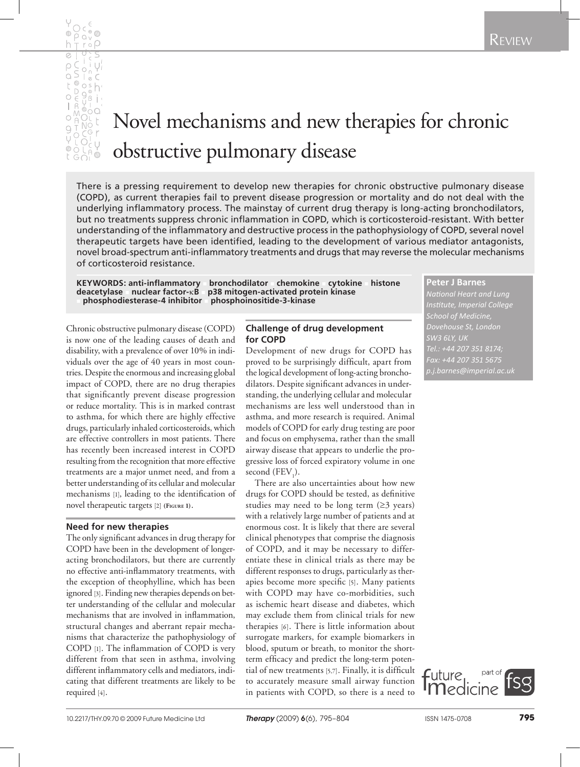

# Novel mechanisms and new therapies for chronic obstructive pulmonary disease

There is a pressing requirement to develop new therapies for chronic obstructive pulmonary disease (COPD), as current therapies fail to prevent disease progression or mortality and do not deal with the underlying inflammatory process. The mainstay of current drug therapy is long-acting bronchodilators, but no treatments suppress chronic inflammation in COPD, which is corticosteroid-resistant. With better understanding of the inflammatory and destructive process in the pathophysiology of COPD, several novel therapeutic targets have been identified, leading to the development of various mediator antagonists, novel broad-spectrum anti-inflammatory treatments and drugs that may reverse the molecular mechanisms of corticosteroid resistance.

**KEYWORDS: anti-inflammatory bronchodilator chemokine cytokine histone deacetylase nuclear factor-** $\kappa$ **B p38 mitogen-activated protein kinase** p38 mitogen-activated protein kinase<br>**phosphoinositide-3-kinase** <sup>n</sup> **phosphodiesterase-4 inhibitor** n **phosphoinositide-3-kinase**

Chronic obstructive pulmonary disease (COPD) is now one of the leading causes of death and disability, with a prevalence of over 10% in individuals over the age of 40 years in most countries. Despite the enormous and increasing global impact of COPD, there are no drug therapies that significantly prevent disease progression or reduce mortality. This is in marked contrast to asthma, for which there are highly effective drugs, particularly inhaled corticosteroids, which are effective controllers in most patients. There has recently been increased interest in COPD resulting from the recognition that more effective treatments are a major unmet need, and from a better understanding of its cellular and molecular mechanisms [1], leading to the identification of novel therapeutic targets [2] **(Figure 1)**.

#### **Need for new therapies**

The only significant advances in drug therapy for COPD have been in the development of longeracting bronchodilators, but there are currently no effective anti-inflammatory treatments, with the exception of theophylline, which has been ignored [3]. Finding new therapies depends on better understanding of the cellular and molecular mechanisms that are involved in inflammation, structural changes and aberrant repair mechanisms that characterize the pathophysiology of COPD [1]. The inflammation of COPD is very different from that seen in asthma, involving different inflammatory cells and mediators, indicating that different treatments are likely to be required [4].

# **Challenge of drug development for COPD**

Development of new drugs for COPD has proved to be surprisingly difficult, apart from the logical development of long-acting bronchodilators. Despite significant advances in understanding, the underlying cellular and molecular mechanisms are less well understood than in asthma, and more research is required. Animal models of COPD for early drug testing are poor and focus on emphysema, rather than the small airway disease that appears to underlie the progressive loss of forced expiratory volume in one second  $(FEV_{1}).$ 

There are also uncertainties about how new drugs for COPD should be tested, as definitive studies may need to be long term  $(\geq 3$  years) with a relatively large number of patients and at enormous cost. It is likely that there are several clinical phenotypes that comprise the diagnosis of COPD, and it may be necessary to differentiate these in clinical trials as there may be different responses to drugs, particularly as therapies become more specific [5]. Many patients with COPD may have co-morbidities, such as ischemic heart disease and diabetes, which may exclude them from clinical trials for new therapies [6]. There is little information about surrogate markers, for example biomarkers in blood, sputum or breath, to monitor the shortterm efficacy and predict the long-term potential of new treatments [5,7]. Finally, it is difficult to accurately measure small airway function in patients with COPD, so there is a need to

**Peter J Barnes** *National Heart and Lung Institute, Imperial College School of Medicine, Dovehouse St, London Fax: +44 207 351 5675* 

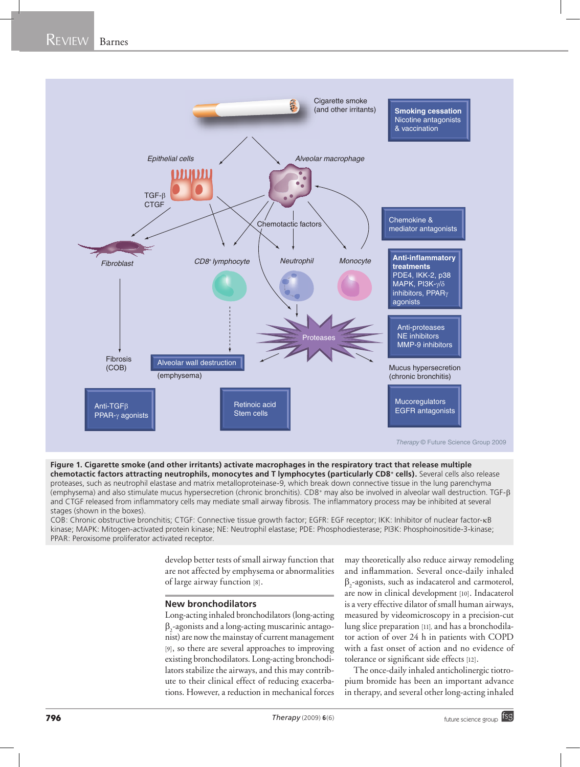

**Figure 1. Cigarette smoke (and other irritants) activate macrophages in the respiratory tract that release multiple chemotactic factors attracting neutrophils, monocytes and T lymphocytes (particularly CD8+ cells).** Several cells also release proteases, such as neutrophil elastase and matrix metalloproteinase-9, which break down connective tissue in the lung parenchyma (emphysema) and also stimulate mucus hypersecretion (chronic bronchitis). CD8+ may also be involved in alveolar wall destruction. TGF-b and CTGF released from inflammatory cells may mediate small airway fibrosis. The inflammatory process may be inhibited at several stages (shown in the boxes).

COB: Chronic obstructive bronchitis; CTGF: Connective tissue growth factor; EGFR: EGF receptor; IKK: Inhibitor of nuclear factor-kB kinase; MAPK: Mitogen-activated protein kinase; NE: Neutrophil elastase; PDE: Phosphodiesterase; PI3K: Phosphoinositide-3-kinase; PPAR: Peroxisome proliferator activated receptor.

> develop better tests of small airway function that are not affected by emphysema or abnormalities of large airway function [8].

#### **New bronchodilators**

Long-acting inhaled bronchodilators (long-acting  $\beta_2$ -agonists and a long-acting muscarinic antagonist) are now the mainstay of current management [9], so there are several approaches to improving existing bronchodilators. Long-acting bronchodilators stabilize the airways, and this may contribute to their clinical effect of reducing exacerbations. However, a reduction in mechanical forces

may theoretically also reduce airway remodeling and inflammation. Several once-daily inhaled  $\beta_2$ -agonists, such as indacaterol and carmoterol, are now in clinical development [10]. Indacaterol is a very effective dilator of small human airways, measured by videomicroscopy in a precision-cut lung slice preparation [11], and has a bronchodilator action of over 24 h in patients with COPD with a fast onset of action and no evidence of tolerance or significant side effects [12].

The once-daily inhaled anticholinergic tiotropium bromide has been an important advance in therapy, and several other long-acting inhaled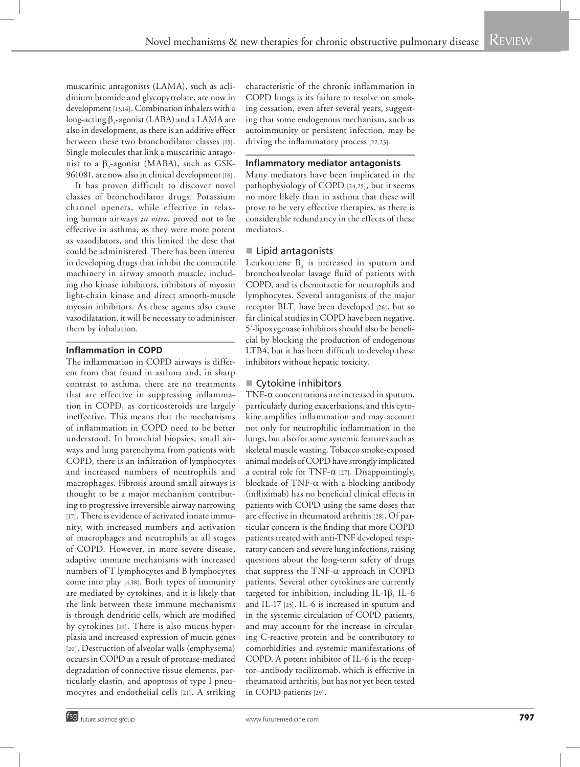muscarinic antagonists (LAMA), such as aclidinium bromide and glycopyrrolate, are now in development [13,14]. Combination inhalers with a long-acting  $\beta_2$ -agonist (LABA) and a LAMA are also in development, as there is an additive effect between these two bronchodilator classes [15]. Single molecules that link a muscarinic antagonist to a  $\beta_2$ -agonist (MABA), such as GSK-961081, are now also in clinical development [16].

It has proven difficult to discover novel classes of bronchodilator drugs. Potassium channel openers, while effective in relaxing human airways *in vitro*, proved not to be effective in asthma, as they were more potent as vasodilators, and this limited the dose that could be administered. There has been interest in developing drugs that inhibit the contractile machinery in airway smooth muscle, including rho kinase inhibitors, inhibitors of myosin light-chain kinase and direct smooth-muscle myosin inhibitors. As these agents also cause vasodilatation, it will be necessary to administer them by inhalation.

# **Inflammation in COPD**

The inflammation in COPD airways is different from that found in asthma and, in sharp contrast to asthma, there are no treatments that are effective in suppressing inflammation in COPD, as corticosteroids are largely ineffective. This means that the mechanisms of inflammation in COPD need to be better understood. In bronchial biopsies, small airways and lung parenchyma from patients with COPD, there is an infiltration of lymphocytes and increased numbers of neutrophils and macrophages. Fibrosis around small airways is thought to be a major mechanism contributing to progressive irreversible airway narrowing [17]. There is evidence of activated innate immunity, with increased numbers and activation of macrophages and neutrophils at all stages of COPD. However, in more severe disease, adaptive immune mechanisms with increased numbers of T lymphocytes and B lymphocytes come into play [4,18]. Both types of immunity are mediated by cytokines, and it is likely that the link between these immune mechanisms is through dendritic cells, which are modified by cytokines [19]. There is also mucus hyperplasia and increased expression of mucin genes [20]. Destruction of alveolar walls (emphysema) occurs in COPD as a result of protease-mediated degradation of connective tissue elements, particularly elastin, and apoptosis of type I pneumocytes and endothelial cells [21]. A striking characteristic of the chronic inflammation in COPD lungs is its failure to resolve on smoking cessation, even after several years, suggesting that some endogenous mechanism, such as autoimmunity or persistent infection, may be driving the inflammatory process [22,23].

#### **Inflammatory mediator antagonists**

Many mediators have been implicated in the pathophysiology of COPD [24,25], but it seems no more likely than in asthma that these will prove to be very effective therapies, as there is considerable redundancy in the effects of these mediators.

# ■ Lipid antagonists

Leukotriene  $B_4$  is increased in sputum and bronchoalveolar lavage fluid of patients with COPD, and is chemotactic for neutrophils and lymphocytes. Several antagonists of the major receptor  $\operatorname{BLT}_1$  have been developed [26], but so far clinical studies in COPD have been negative. 5´-lipoxygenase inhibitors should also be beneficial by blocking the production of endogenous LTB4, but it has been difficult to develop these inhibitors without hepatic toxicity.

# ■ Cytokine inhibitors

TNF- $\alpha$  concentrations are increased in sputum, particularly during exacerbations, and this cytokine amplifies inflammation and may account not only for neutrophilic inflammation in the lungs, but also for some systemic features such as skeletal muscle wasting. Tobacco smoke-exposed animal models of COPD have strongly implicated a central role for TNF- $\alpha$  [27]. Disappointingly, blockade of TNF- $\alpha$  with a blocking antibody (infliximab) has no beneficial clinical effects in patients with COPD using the same doses that are effective in rheumatoid arthritis [28]. Of particular concern is the finding that more COPD patients treated with anti-TNF developed respiratory cancers and severe lung infections, raising questions about the long-term safety of drugs that suppress the TNF- $\alpha$  approach in COPD patients. Several other cytokines are currently targeted for inhibition, including IL-1 $\beta$ , IL-6 and IL-17 [25]. IL-6 is increased in sputum and in the systemic circulation of COPD patients, and may account for the increase in circulating C-reactive protein and be contributory to comorbidities and systemic manifestations of COPD. A potent inhibitor of IL-6 is the receptor–antibody tocilizumab, which is effective in rheumatoid arthritis, but has not yet been tested in COPD patients [29].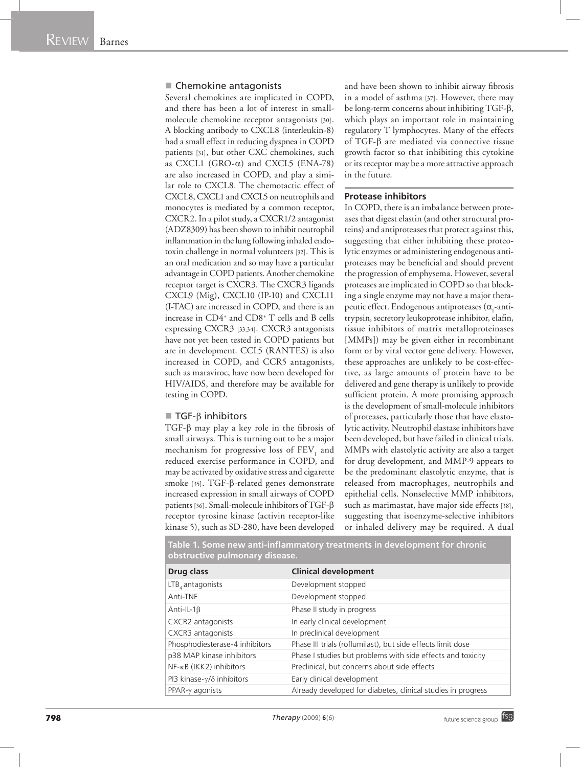#### ■ Chemokine antagonists

Several chemokines are implicated in COPD, and there has been a lot of interest in smallmolecule chemokine receptor antagonists [30]. A blocking antibody to CXCL8 (interleukin-8) had a small effect in reducing dyspnea in COPD patients [31], but other CXC chemokines, such as CXCL1 (GRO- $\alpha$ ) and CXCL5 (ENA-78) are also increased in COPD, and play a similar role to CXCL8. The chemotactic effect of CXCL8, CXCL1 and CXCL5 on neutrophils and monocytes is mediated by a common receptor, CXCR2. In a pilot study, a CXCR1/2 antagonist (ADZ8309) has been shown to inhibit neutrophil inflammation in the lung following inhaled endotoxin challenge in normal volunteers [32]. This is an oral medication and so may have a particular advantage in COPD patients. Another chemokine receptor target is CXCR3. The CXCR3 ligands CXCL9 (Mig), CXCL10 (IP-10) and CXCL11 (I-TAC) are increased in COPD, and there is an increase in CD4+ and CD8+ T cells and B cells expressing CXCR3 [33,34]. CXCR3 antagonists have not yet been tested in COPD patients but are in development. CCL5 (RANTES) is also increased in COPD, and CCR5 antagonists, such as maraviroc, have now been developed for HIV/AIDS, and therefore may be available for testing in COPD.

#### $\blacksquare$  TGF- $\beta$  inhibitors

TGF-b may play a key role in the fibrosis of small airways. This is turning out to be a major mechanism for progressive loss of  $\mathrm{FEV}_1$  and reduced exercise performance in COPD, and may be activated by oxidative stress and cigarette smoke [35]. TGF-β-related genes demonstrate increased expression in small airways of COPD patients [36]. Small-molecule inhibitors of TGF- $\beta$ receptor tyrosine kinase (activin receptor-like kinase 5), such as SD-280, have been developed

and have been shown to inhibit airway fibrosis in a model of asthma [37]. However, there may be long-term concerns about inhibiting TGF-β, which plays an important role in maintaining regulatory T lymphocytes. Many of the effects of TGF- $\beta$  are mediated via connective tissue growth factor so that inhibiting this cytokine or its receptor may be a more attractive approach in the future.

#### **Protease inhibitors**

In COPD, there is an imbalance between proteases that digest elastin (and other structural proteins) and antiproteases that protect against this, suggesting that either inhibiting these proteolytic enzymes or administering endogenous antiproteases may be beneficial and should prevent the progression of emphysema. However, several proteases are implicated in COPD so that blocking a single enzyme may not have a major therapeutic effect. Endogenous antiproteases ( $\alpha_1$ -antitrypsin, secretory leukoprotease inhibitor, elafin, tissue inhibitors of matrix metalloproteinases [MMPs]) may be given either in recombinant form or by viral vector gene delivery. However, these approaches are unlikely to be cost-effective, as large amounts of protein have to be delivered and gene therapy is unlikely to provide sufficient protein. A more promising approach is the development of small-molecule inhibitors of proteases, particularly those that have elastolytic activity. Neutrophil elastase inhibitors have been developed, but have failed in clinical trials. MMPs with elastolytic activity are also a target for drug development, and MMP-9 appears to be the predominant elastolytic enzyme, that is released from macrophages, neutrophils and epithelial cells. Nonselective MMP inhibitors, such as marimastat, have major side effects [38], suggesting that isoenzyme-selective inhibitors or inhaled delivery may be required. A dual

|                                | Table 1. Some new anti-inflammatory treatments in development for chronic |
|--------------------------------|---------------------------------------------------------------------------|
| obstructive pulmonary disease. |                                                                           |

| <b>Drug class</b>                      | <b>Clinical development</b>                                  |
|----------------------------------------|--------------------------------------------------------------|
| LTB, antagonists                       | Development stopped                                          |
| Anti-TNF                               | Development stopped                                          |
| Anti-IL-1 $\beta$                      | Phase II study in progress                                   |
| CXCR2 antagonists                      | In early clinical development                                |
| CXCR3 antagonists                      | In preclinical development                                   |
| Phosphodiesterase-4 inhibitors         | Phase III trials (roflumilast), but side effects limit dose  |
| p38 MAP kinase inhibitors              | Phase I studies but problems with side effects and toxicity  |
| NF-κB (IKK2) inhibitors                | Preclinical, but concerns about side effects                 |
| PI3 kinase- $\gamma/\delta$ inhibitors | Early clinical development                                   |
| $PPAR-\gamma agonists$                 | Already developed for diabetes, clinical studies in progress |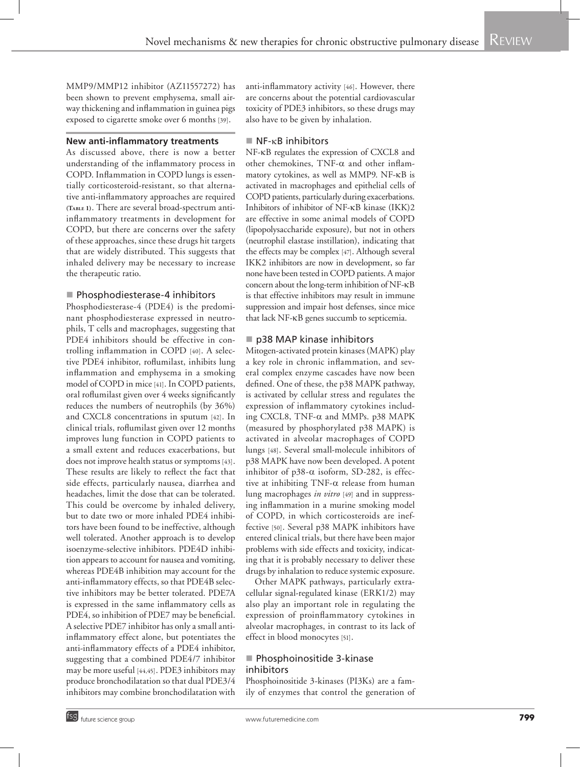MMP9/MMP12 inhibitor (AZ11557272) has been shown to prevent emphysema, small airway thickening and inflammation in guinea pigs exposed to cigarette smoke over 6 months [39].

### **New anti-inflammatory treatments**

As discussed above, there is now a better understanding of the inflammatory process in COPD. Inflammation in COPD lungs is essentially corticosteroid-resistant, so that alternative anti-inflammatory approaches are required **(Table 1)**. There are several broad-spectrum antiinflammatory treatments in development for COPD, but there are concerns over the safety of these approaches, since these drugs hit targets that are widely distributed. This suggests that inhaled delivery may be necessary to increase the therapeutic ratio.

#### **Phosphodiesterase-4 inhibitors**

Phosphodiesterase-4 (PDE4) is the predominant phosphodiesterase expressed in neutrophils, T cells and macrophages, suggesting that PDE4 inhibitors should be effective in controlling inflammation in COPD [40]. A selective PDE4 inhibitor, roflumilast, inhibits lung inflammation and emphysema in a smoking model of COPD in mice [41]. In COPD patients, oral roflumilast given over 4 weeks significantly reduces the numbers of neutrophils (by 36%) and CXCL8 concentrations in sputum [42]. In clinical trials, roflumilast given over 12 months improves lung function in COPD patients to a small extent and reduces exacerbations, but does not improve health status or symptoms [43]. These results are likely to reflect the fact that side effects, particularly nausea, diarrhea and headaches, limit the dose that can be tolerated. This could be overcome by inhaled delivery, but to date two or more inhaled PDE4 inhibitors have been found to be ineffective, although well tolerated. Another approach is to develop isoenzyme-selective inhibitors. PDE4D inhibition appears to account for nausea and vomiting, whereas PDE4B inhibition may account for the anti-inflammatory effects, so that PDE4B selective inhibitors may be better tolerated. PDE7A is expressed in the same inflammatory cells as PDE4, so inhibition of PDE7 may be beneficial. A selective PDE7 inhibitor has only a small antiinflammatory effect alone, but potentiates the anti-inflammatory effects of a PDE4 inhibitor, suggesting that a combined PDE4/7 inhibitor may be more useful [44,45]. PDE3 inhibitors may produce bronchodilatation so that dual PDE3/4 inhibitors may combine bronchodilatation with anti-inflammatory activity [46]. However, there are concerns about the potential cardiovascular toxicity of PDE3 inhibitors, so these drugs may also have to be given by inhalation.

### $\blacksquare$  NF- $\kappa$ B inhibitors

NF-kB regulates the expression of CXCL8 and other chemokines, TNF- $\alpha$  and other inflammatory cytokines, as well as MMP9. NF-kB is activated in macrophages and epithelial cells of COPD patients, particularly during exacerbations. Inhibitors of inhibitor of NF-kB kinase (IKK)2 are effective in some animal models of COPD (lipopolysaccharide exposure), but not in others (neutrophil elastase instillation), indicating that the effects may be complex [47]. Although several IKK2 inhibitors are now in development, so far none have been tested in COPD patients. A major concern about the long-term inhibition of NF-kB is that effective inhibitors may result in immune suppression and impair host defenses, since mice that lack NF-kB genes succumb to septicemia.

# ■ p38 MAP kinase inhibitors

Mitogen-activated protein kinases (MAPK) play a key role in chronic inflammation, and several complex enzyme cascades have now been defined. One of these, the p38 MAPK pathway, is activated by cellular stress and regulates the expression of inflammatory cytokines including CXCL8, TNF- $\alpha$  and MMPs. p38 MAPK (measured by phosphorylated p38 MAPK) is activated in alveolar macrophages of COPD lungs [48]. Several small-molecule inhibitors of p38 MAPK have now been developed. A potent inhibitor of p38- $\alpha$  isoform, SD-282, is effective at inhibiting  $TNF-\alpha$  release from human lung macrophages *in vitro* [49] and in suppressing inflammation in a murine smoking model of COPD, in which corticosteroids are ineffective [50]. Several p38 MAPK inhibitors have entered clinical trials, but there have been major problems with side effects and toxicity, indicating that it is probably necessary to deliver these drugs by inhalation to reduce systemic exposure.

Other MAPK pathways, particularly extracellular signal-regulated kinase (ERK1/2) may also play an important role in regulating the expression of proinflammatory cytokines in alveolar macrophages, in contrast to its lack of effect in blood monocytes [51].

# **Phosphoinositide 3-kinase** inhibitors

Phosphoinositide 3-kinases (PI3Ks) are a family of enzymes that control the generation of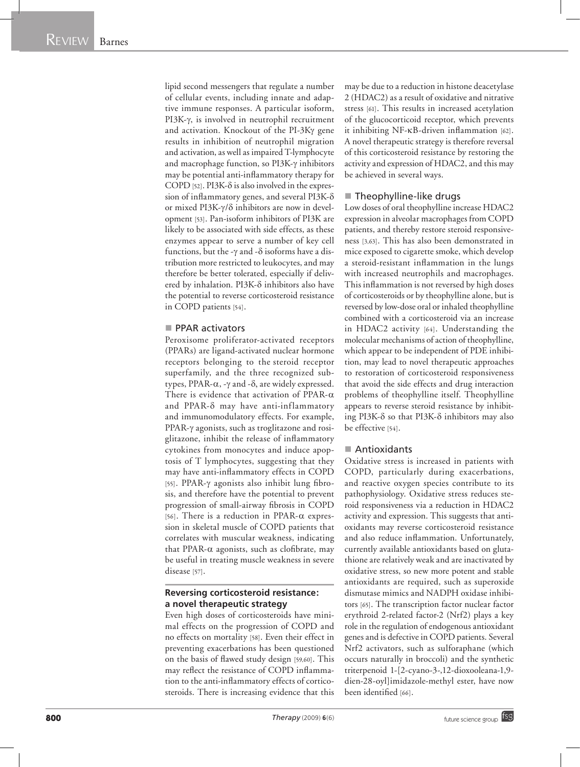lipid second messengers that regulate a number of cellular events, including innate and adaptive immune responses. A particular isoform, PI3K- $\gamma$ , is involved in neutrophil recruitment and activation. Knockout of the PI-3Ky gene results in inhibition of neutrophil migration and activation, as well as impaired T-lymphocyte and macrophage function, so PI3K- $\gamma$  inhibitors may be potential anti-inflammatory therapy for COPD [52]. PI3K- $\delta$  is also involved in the expression of inflammatory genes, and several PI3K- $\delta$ or mixed PI3K- $\gamma/\delta$  inhibitors are now in development [53]. Pan-isoform inhibitors of PI3K are likely to be associated with side effects, as these enzymes appear to serve a number of key cell functions, but the - $\gamma$  and - $\delta$  isoforms have a distribution more restricted to leukocytes, and may therefore be better tolerated, especially if delivered by inhalation. PI3K- $\delta$  inhibitors also have the potential to reverse corticosteroid resistance in COPD patients [54].

#### **PPAR activators**

Peroxisome proliferator-activated receptors (PPARs) are ligand-activated nuclear hormone receptors belonging to the steroid receptor superfamily, and the three recognized subtypes, PPAR- $\alpha$ , - $\gamma$  and - $\delta$ , are widely expressed. There is evidence that activation of PPAR- $\alpha$ and PPAR- $\delta$  may have anti-inflammatory and immunomodulatory effects. For example, PPAR- $\gamma$  agonists, such as troglitazone and rosiglitazone, inhibit the release of inflammatory cytokines from monocytes and induce apoptosis of T lymphocytes, suggesting that they may have anti-inflammatory effects in COPD [55]. PPAR- $\gamma$  agonists also inhibit lung fibrosis, and therefore have the potential to prevent progression of small-airway fibrosis in COPD [56]. There is a reduction in PPAR- $\alpha$  expression in skeletal muscle of COPD patients that correlates with muscular weakness, indicating that PPAR- $\alpha$  agonists, such as clofibrate, may be useful in treating muscle weakness in severe disease [57].

# **Reversing corticosteroid resistance: a novel therapeutic strategy**

Even high doses of corticosteroids have minimal effects on the progression of COPD and no effects on mortality [58]. Even their effect in preventing exacerbations has been questioned on the basis of flawed study design [59,60]. This may reflect the resistance of COPD inflammation to the anti-inflammatory effects of corticosteroids. There is increasing evidence that this

may be due to a reduction in histone deacetylase 2 (HDAC2) as a result of oxidative and nitrative stress [61]. This results in increased acetylation of the glucocorticoid receptor, which prevents it inhibiting NF-kB-driven inflammation [62]. A novel therapeutic strategy is therefore reversal of this corticosteroid resistance by restoring the activity and expression of HDAC2, and this may be achieved in several ways.

#### $\blacksquare$  Theophylline-like drugs

Low doses of oral theophylline increase HDAC2 expression in alveolar macrophages from COPD patients, and thereby restore steroid responsiveness [3,63]. This has also been demonstrated in mice exposed to cigarette smoke, which develop a steroid-resistant inflammation in the lungs with increased neutrophils and macrophages. This inflammation is not reversed by high doses of corticosteroids or by theophylline alone, but is reversed by low-dose oral or inhaled theophylline combined with a corticosteroid via an increase in HDAC2 activity [64]. Understanding the molecular mechanisms of action of theophylline, which appear to be independent of PDE inhibition, may lead to novel therapeutic approaches to restoration of corticosteroid responsiveness that avoid the side effects and drug interaction problems of theophylline itself. Theophylline appears to reverse steroid resistance by inhibiting PI3K- $\delta$  so that PI3K- $\delta$  inhibitors may also be effective [54].

#### Antioxidants

Oxidative stress is increased in patients with COPD, particularly during exacerbations, and reactive oxygen species contribute to its pathophysiology. Oxidative stress reduces steroid responsiveness via a reduction in HDAC2 activity and expression. This suggests that antioxidants may reverse corticosteroid resistance and also reduce inflammation. Unfortunately, currently available antioxidants based on glutathione are relatively weak and are inactivated by oxidative stress, so new more potent and stable antioxidants are required, such as superoxide dismutase mimics and NADPH oxidase inhibitors [65]. The transcription factor nuclear factor erythroid 2-related factor-2 (Nrf2) plays a key role in the regulation of endogenous antioxidant genes and is defective in COPD patients. Several Nrf2 activators, such as sulforaphane (which occurs naturally in broccoli) and the synthetic triterpenoid 1-[2-cyano-3-,12-dioxooleana-1,9 dien-28-oyl]imidazole-methyl ester, have now been identified [66].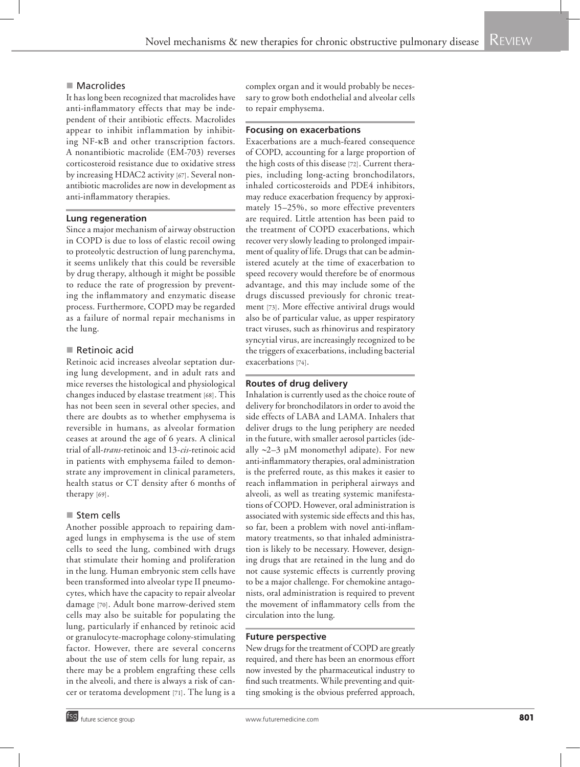# ■ Macrolides

It has long been recognized that macrolides have anti-inflammatory effects that may be independent of their antibiotic effects. Macrolides appear to inhibit inflammation by inhibiting NF-kB and other transcription factors. A nonantibiotic macrolide (EM-703) reverses corticosteroid resistance due to oxidative stress by increasing HDAC2 activity [67]. Several nonantibiotic macrolides are now in development as anti-inflammatory therapies.

# **Lung regeneration**

Since a major mechanism of airway obstruction in COPD is due to loss of elastic recoil owing to proteolytic destruction of lung parenchyma, it seems unlikely that this could be reversible by drug therapy, although it might be possible to reduce the rate of progression by preventing the inflammatory and enzymatic disease process. Furthermore, COPD may be regarded as a failure of normal repair mechanisms in the lung.

# Retinoic acid

Retinoic acid increases alveolar septation during lung development, and in adult rats and mice reverses the histological and physiological changes induced by elastase treatment [68]. This has not been seen in several other species, and there are doubts as to whether emphysema is reversible in humans, as alveolar formation ceases at around the age of 6 years. A clinical trial of all-*trans*-retinoic and 13-*cis*-retinoic acid in patients with emphysema failed to demonstrate any improvement in clinical parameters, health status or CT density after 6 months of therapy [69].

#### ■ Stem cells

Another possible approach to repairing damaged lungs in emphysema is the use of stem cells to seed the lung, combined with drugs that stimulate their homing and proliferation in the lung. Human embryonic stem cells have been transformed into alveolar type II pneumocytes, which have the capacity to repair alveolar damage [70]. Adult bone marrow-derived stem cells may also be suitable for populating the lung, particularly if enhanced by retinoic acid or granulocyte-macrophage colony-stimulating factor. However, there are several concerns about the use of stem cells for lung repair, as there may be a problem engrafting these cells in the alveoli, and there is always a risk of cancer or teratoma development [71]. The lung is a

complex organ and it would probably be necessary to grow both endothelial and alveolar cells to repair emphysema.

# **Focusing on exacerbations**

Exacerbations are a much-feared consequence of COPD, accounting for a large proportion of the high costs of this disease [72]. Current therapies, including long-acting bronchodilators, inhaled corticosteroids and PDE4 inhibitors, may reduce exacerbation frequency by approximately 15–25%, so more effective preventers are required. Little attention has been paid to the treatment of COPD exacerbations, which recover very slowly leading to prolonged impairment of quality of life. Drugs that can be administered acutely at the time of exacerbation to speed recovery would therefore be of enormous advantage, and this may include some of the drugs discussed previously for chronic treatment [73]. More effective antiviral drugs would also be of particular value, as upper respiratory tract viruses, such as rhinovirus and respiratory syncytial virus, are increasingly recognized to be the triggers of exacerbations, including bacterial exacerbations [74].

# **Routes of drug delivery**

Inhalation is currently used as the choice route of delivery for bronchodilators in order to avoid the side effects of LABA and LAMA. Inhalers that deliver drugs to the lung periphery are needed in the future, with smaller aerosol particles (ideally  $\sim$ 2–3 µM monomethyl adipate). For new anti-inflammatory therapies, oral administration is the preferred route, as this makes it easier to reach inflammation in peripheral airways and alveoli, as well as treating systemic manifestations of COPD. However, oral administration is associated with systemic side effects and this has, so far, been a problem with novel anti-inflammatory treatments, so that inhaled administration is likely to be necessary. However, designing drugs that are retained in the lung and do not cause systemic effects is currently proving to be a major challenge. For chemokine antagonists, oral administration is required to prevent the movement of inflammatory cells from the circulation into the lung.

#### **Future perspective**

New drugs for the treatment of COPD are greatly required, and there has been an enormous effort now invested by the pharmaceutical industry to find such treatments. While preventing and quitting smoking is the obvious preferred approach,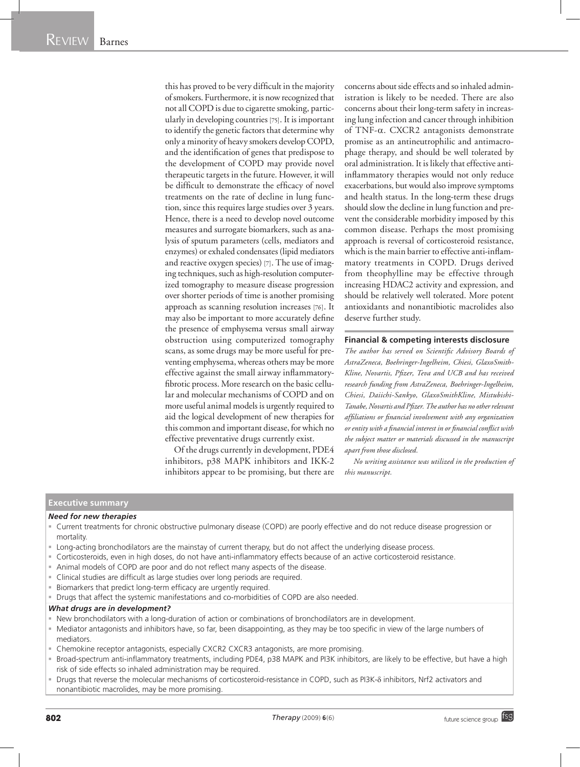this has proved to be very difficult in the majority of smokers. Furthermore, it is now recognized that not all COPD is due to cigarette smoking, particularly in developing countries [75]. It is important to identify the genetic factors that determine why only a minority of heavy smokers develop COPD, and the identification of genes that predispose to the development of COPD may provide novel therapeutic targets in the future. However, it will be difficult to demonstrate the efficacy of novel treatments on the rate of decline in lung function, since this requires large studies over 3 years. Hence, there is a need to develop novel outcome measures and surrogate biomarkers, such as analysis of sputum parameters (cells, mediators and enzymes) or exhaled condensates (lipid mediators and reactive oxygen species) [7]. The use of imaging techniques, such as high-resolution computerized tomography to measure disease progression over shorter periods of time is another promising approach as scanning resolution increases [76]. It may also be important to more accurately define the presence of emphysema versus small airway obstruction using computerized tomography scans, as some drugs may be more useful for preventing emphysema, whereas others may be more effective against the small airway inflammatoryfibrotic process. More research on the basic cellular and molecular mechanisms of COPD and on more useful animal models is urgently required to aid the logical development of new therapies for this common and important disease, for which no effective preventative drugs currently exist.

Of the drugs currently in development, PDE4 inhibitors, p38 MAPK inhibitors and IKK-2 inhibitors appear to be promising, but there are concerns about side effects and so inhaled administration is likely to be needed. There are also concerns about their long-term safety in increasing lung infection and cancer through inhibition of TNF-a. CXCR2 antagonists demonstrate promise as an antineutrophilic and antimacrophage therapy, and should be well tolerated by oral administration. It is likely that effective antiinflammatory therapies would not only reduce exacerbations, but would also improve symptoms and health status. In the long-term these drugs should slow the decline in lung function and prevent the considerable morbidity imposed by this common disease. Perhaps the most promising approach is reversal of corticosteroid resistance, which is the main barrier to effective anti-inflammatory treatments in COPD. Drugs derived from theophylline may be effective through increasing HDAC2 activity and expression, and should be relatively well tolerated. More potent antioxidants and nonantibiotic macrolides also deserve further study.

#### **Financial & competing interests disclosure**

*The author has served on Scientific Advisory Boards of AstraZeneca, Boehringer-Ingelheim, Chiesi, GlaxoSmith-Kline, Novartis, Pfizer, Teva and UCB and has received research funding from AstraZeneca, Boehringer-Ingelheim, Chiesi, Daiichi-Sankyo, GlaxoSmithKline, Mistubishi-Tanabe, Novartis and Pfizer. The author has no other relevant affiliations or financial involvement with any organization or entity with a financial interest in or financial conflict with the subject matter or materials discussed in the manuscript apart from those disclosed.*

*No writing assistance was utilized in the production of this manuscript.*

# **Executive summary**

#### *Need for new therapies*

- Current treatments for chronic obstructive pulmonary disease (COPD) are poorly effective and do not reduce disease progression or mortality.
- Long-acting bronchodilators are the mainstay of current therapy, but do not affect the underlying disease process.
- Corticosteroids, even in high doses, do not have anti-inflammatory effects because of an active corticosteroid resistance.
- Animal models of COPD are poor and do not reflect many aspects of the disease.
- Clinical studies are difficult as large studies over long periods are required.
- Biomarkers that predict long-term efficacy are urgently required.
- Drugs that affect the systemic manifestations and co-morbidities of COPD are also needed.

#### *What drugs are in development?*

- New bronchodilators with a long-duration of action or combinations of bronchodilators are in development.
- Mediator antagonists and inhibitors have, so far, been disappointing, as they may be too specific in view of the large numbers of mediators.
- Chemokine receptor antagonists, especially CXCR2 CXCR3 antagonists, are more promising.
- Broad-spectrum anti-inflammatory treatments, including PDE4, p38 MAPK and PI3K inhibitors, are likely to be effective, but have a high risk of side effects so inhaled administration may be required.
- Drugs that reverse the molecular mechanisms of corticosteroid-resistance in COPD, such as PI3K-8 inhibitors, Nrf2 activators and nonantibiotic macrolides, may be more promising.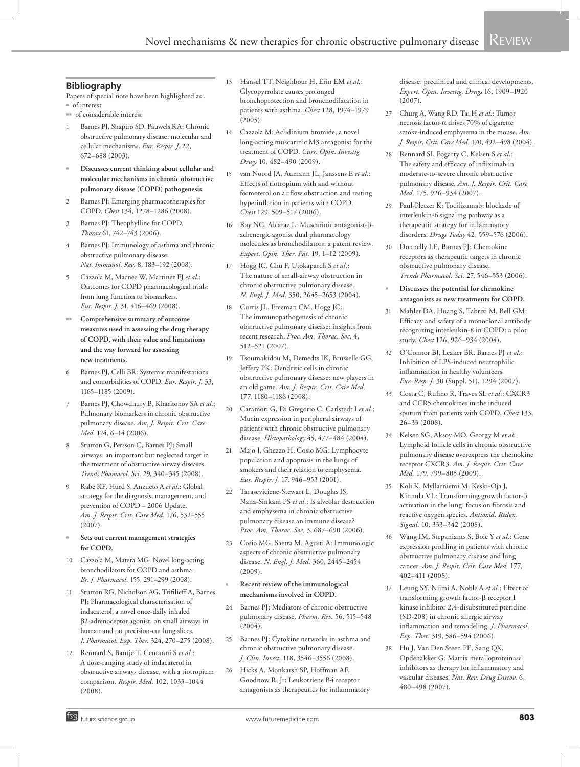#### **Bibliography**

Papers of special note have been highlighted as:  $\overline{\phantom{a}}$  of interest

- <sup>nn</sup> of considerable interest
- 1 Barnes PJ, Shapiro SD, Pauwels RA: Chronic obstructive pulmonary disease: molecular and cellular mechanisms. *Eur. Respir. J.* 22, 672–688 (2003).
- <sup>n</sup> **Discusses current thinking about cellular and molecular mechanisms in chronic obstructive pulmonary disease (COPD) pathogenesis.**
- Barnes PJ: Emerging pharmacotherapies for COPD. *Chest* 134, 1278–1286 (2008).
- Barnes PI: Theophylline for COPD. *Thorax* 61, 742–743 (2006).
- Barnes PJ: Immunology of asthma and chronic obstructive pulmonary disease. *Nat. Immunol. Rev.* 8, 183–192 (2008).
- 5 Cazzola M, Macnee W, Martinez FJ *et al.*: Outcomes for COPD pharmacological trials: from lung function to biomarkers. *Eur. Respir. J.* 31, 416–469 (2008).
- Comprehensive summary of outcome **measures used in assessing the drug therapy of COPD, with their value and limitations and the way forward for assessing new treatments.**
- 6 Barnes PJ, Celli BR: Systemic manifestations and comorbidities of COPD. *Eur. Respir. J.* 33, 1165–1185 (2009).
- Barnes PJ, Chowdhury B, Kharitonov SA et al.: Pulmonary biomarkers in chronic obstructive pulmonary disease. *Am. J. Respir. Crit. Care Med.* 174, 6–14 (2006).
- 8 Sturton G, Persson C, Barnes PJ: Small airways: an important but neglected target in the treatment of obstructive airway diseases. *Trends Phamacol. Sci.* 29, 340–345 (2008).
- 9 Rabe KF, Hurd S, Anzueto A *et al.*: Global strategy for the diagnosis, management, and prevention of COPD – 2006 Update. *Am. J. Respir. Crit. Care Med.* 176, 532–555 (2007).
- <sup>n</sup> **Sets out current management strategies for COPD.**
- 10 Cazzola M, Matera MG: Novel long-acting bronchodilators for COPD and asthma. *Br. J. Pharmacol.* 155, 291–299 (2008).
- 11 Sturton RG, Nicholson AG, Trifilieff A, Barnes PJ: Pharmacological characterisation of indacaterol, a novel once-daily inhaled b2-adrenoceptor agonist, on small airways in human and rat precision-cut lung slices. *J. Pharmacol. Exp. Ther.* 324, 270–275 (2008).
- 12 Rennard S, Bantje T, Centanni S *et al.*: A dose-ranging study of indacaterol in obstructive airways disease, with a tiotropium comparison. *Respir. Med.* 102, 1033–1044  $(2008).$
- 13 Hansel TT, Neighbour H, Erin EM *et al.*: Glycopyrrolate causes prolonged bronchoprotection and bronchodilatation in patients with asthma. *Chest* 128, 1974–1979 (2005).
- 14 Cazzola M: Aclidinium bromide, a novel long-acting muscarinic M3 antagonist for the treatment of COPD. *Curr. Opin. Investig. Drugs* 10, 482–490 (2009).
- 15 van Noord JA, Aumann JL, Janssens E *et al.*: Effects of tiotropium with and without formoterol on airflow obstruction and resting hyperinflation in patients with COPD. *Chest* 129, 509–517 (2006).
- 16 Ray NC, Alcaraz L: Muscarinic antagonist-badrenergic agonist dual pharmacology molecules as bronchodilators: a patent review. *Expert. Opin. Ther. Pat.* 19, 1–12 (2009).
- 17 Hogg JC, Chu F, Utokaparch S *et al.*: The nature of small-airway obstruction in chronic obstructive pulmonary disease. *N. Engl. J. Med.* 350, 2645–2653 (2004).
- 18 Curtis JL, Freeman CM, Hogg JC: The immunopathogenesis of chronic obstructive pulmonary disease: insights from recent research. *Proc. Am. Thorac. Soc.* 4, 512–521 (2007).
- 19 Tsoumakidou M, Demedts IK, Brusselle GG, Jeffery PK: Dendritic cells in chronic obstructive pulmonary disease: new players in an old game. *Am. J. Respir. Crit. Care Med.* 177, 1180–1186 (2008).
- 20 Caramori G, Di Gregorio C, Carlstedt I *et al.*: Mucin expression in peripheral airways of patients with chronic obstructive pulmonary disease. *Histopathology* 45, 477–484 (2004).
- 21 Majo J, Ghezzo H, Cosio MG: Lymphocyte population and apoptosis in the lungs of smokers and their relation to emphysema. *Eur. Respir. J.* 17, 946–953 (2001).
- 22 Taraseviciene-Stewart L, Douglas IS, Nana-Sinkam PS *et al.*: Is alveolar destruction and emphysema in chronic obstructive pulmonary disease an immune disease? *Proc. Am. Thorac. Soc.* 3, 687–690 (2006).
- 23 Cosio MG, Saetta M, Agusti A: Immunologic aspects of chronic obstructive pulmonary disease. *N. Engl. J. Med.* 360, 2445–2454 (2009).
- <sup>n</sup> **Recent review of the immunological mechanisms involved in COPD.**
- 24 Barnes PJ: Mediators of chronic obstructive pulmonary disease. *Pharm. Rev.* 56, 515–548  $(2004)$ .
- 25 Barnes PJ: Cytokine networks in asthma and chronic obstructive pulmonary disease. *J. Clin. Invest.* 118, 3546–3556 (2008).
- 26 Hicks A, Monkarsh SP, Hoffman AF, Goodnow R, Jr: Leukotriene B4 receptor antagonists as therapeutics for inflammatory

disease: preclinical and clinical developments. *Expert. Opin. Investig. Drugs* 16, 1909–1920  $(2007)$ 

- 27 Churg A, Wang RD, Tai H *et al.*: Tumor necrosis factor- $\alpha$  drives 70% of cigarette smoke-induced emphysema in the mouse. *Am. J. Respir. Crit. Care Med.* 170, 492–498 (2004).
- 28 Rennard SI, Fogarty C, Kelsen S *et al.*: The safety and efficacy of infliximab in moderate-to-severe chronic obstructive pulmonary disease. *Am. J. Respir. Crit. Care Med.* 175, 926–934 (2007).
- 29 Paul-Pletzer K: Tocilizumab: blockade of interleukin-6 signaling pathway as a therapeutic strategy for inflammatory disorders. *Drugs Today* 42, 559–576 (2006).
- 30 Donnelly LE, Barnes PJ: Chemokine receptors as therapeutic targets in chronic obstructive pulmonary disease. *Trends Pharmacol. Sci.* 27, 546–553 (2006).
- <sup>n</sup> **Discusses the potential for chemokine antagonists as new treatments for COPD.**
- 31 Mahler DA, Huang S, Tabrizi M, Bell GM: Efficacy and safety of a monoclonal antibody recognizing interleukin-8 in COPD: a pilot study. *Chest* 126, 926–934 (2004).
- 32 O'Connor BJ, Leaker BR, Barnes PJ *et al.*: Inhibition of LPS-induced neutrophilic inflammation in healthy volunteers. *Eur. Resp. J.* 30 (Suppl. 51), 1294 (2007).
- 33 Costa C, Rufino R, Traves SL *et al.*: CXCR3 and CCR5 chemokines in the induced sputum from patients with COPD. *Chest* 133, 26–33 (2008).
- 34 Kelsen SG, Aksoy MO, Georgy M *et al.*: Lymphoid follicle cells in chronic obstructive pulmonary disease overexpress the chemokine receptor CXCR3. *Am. J. Respir. Crit. Care Med.* 179, 799–805 (2009).
- 35 Koli K, Myllarniemi M, Keski-Oja J, Kinnula VL: Transforming growth factor-b activation in the lung: focus on fibrosis and reactive oxygen species. *Antioxid. Redox. Signal.* 10, 333–342 (2008).
- 36 Wang IM, Stepaniants S, Boie Y *et al.*: Gene expression profiling in patients with chronic obstructive pulmonary disease and lung cancer. *Am. J. Respir. Crit. Care Med.* 177, 402–411 (2008).
- 37 Leung SY, Niimi A, Noble A *et al.*: Effect of transforming growth factor- $\beta$  receptor I kinase inhibitor 2,4-disubstituted pteridine (SD-208) in chronic allergic airway inflammation and remodeling. *J. Pharmacol. Exp. Ther.* 319, 586–594 (2006).
- 38 Hu J, Van Den Steen PE, Sang QX, Opdenakker G: Matrix metalloproteinase inhibitors as therapy for inflammatory and vascular diseases. *Nat. Rev. Drug Discov.* 6, 480–498 (2007).